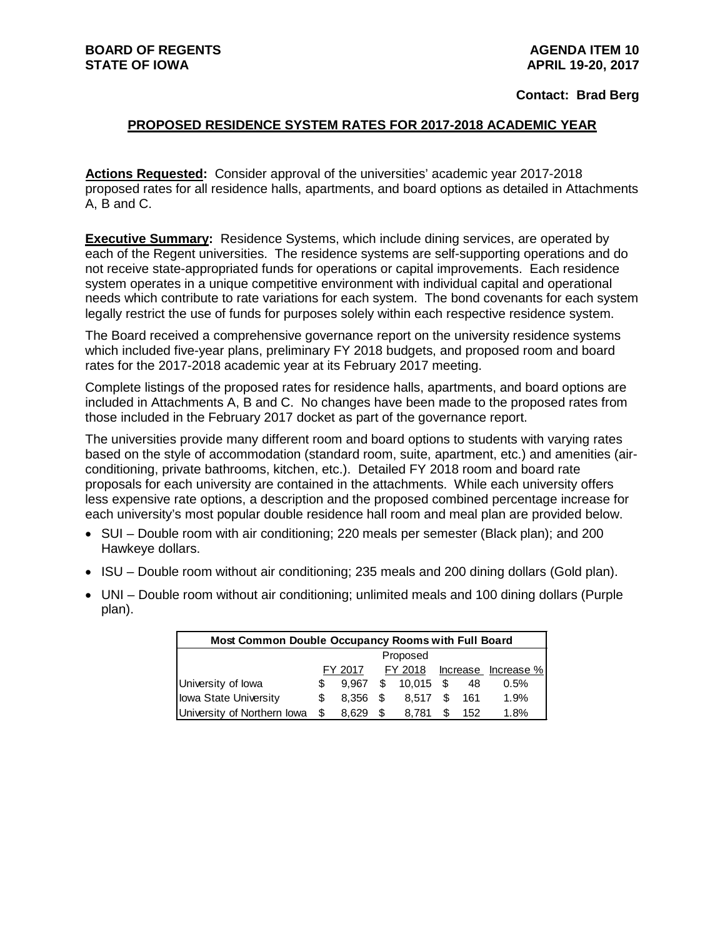**Contact: Brad Berg**

### **PROPOSED RESIDENCE SYSTEM RATES FOR 2017-2018 ACADEMIC YEAR**

**Actions Requested:** Consider approval of the universities' academic year 2017-2018 proposed rates for all residence halls, apartments, and board options as detailed in Attachments A, B and C.

**Executive Summary:** Residence Systems, which include dining services, are operated by each of the Regent universities. The residence systems are self-supporting operations and do not receive state-appropriated funds for operations or capital improvements. Each residence system operates in a unique competitive environment with individual capital and operational needs which contribute to rate variations for each system. The bond covenants for each system legally restrict the use of funds for purposes solely within each respective residence system.

The Board received a comprehensive governance report on the university residence systems which included five-year plans, preliminary FY 2018 budgets, and proposed room and board rates for the 2017-2018 academic year at its February 2017 meeting.

Complete listings of the proposed rates for residence halls, apartments, and board options are included in Attachments A, B and C. No changes have been made to the proposed rates from those included in the February 2017 docket as part of the governance report.

The universities provide many different room and board options to students with varying rates based on the style of accommodation (standard room, suite, apartment, etc.) and amenities (airconditioning, private bathrooms, kitchen, etc.). Detailed FY 2018 room and board rate proposals for each university are contained in the attachments. While each university offers less expensive rate options, a description and the proposed combined percentage increase for each university's most popular double residence hall room and meal plan are provided below.

- SUI Double room with air conditioning; 220 meals per semester (Black plan); and 200 Hawkeye dollars.
- ISU Double room without air conditioning; 235 meals and 200 dining dollars (Gold plan).
- UNI Double room without air conditioning; unlimited meals and 100 dining dollars (Purple plan).

| <b>Most Common Double Occupancy Rooms with Full Board</b> |    |         |    |              |      |     |                     |  |  |
|-----------------------------------------------------------|----|---------|----|--------------|------|-----|---------------------|--|--|
| Proposed                                                  |    |         |    |              |      |     |                     |  |  |
|                                                           |    | FY 2017 |    | FY 2018      |      |     | Increase Increase % |  |  |
| University of Iowa                                        | S  | 9.967   |    | $$10.015$ \$ |      | 48  | 0.5%                |  |  |
| lowa State University                                     | S  | 8.356   | £. | 8.517        | - \$ | 161 | 1.9%                |  |  |
| University of Northern Iowa                               | \$ | 8.629   | S  | 8.781        | S    | 152 | 1.8%                |  |  |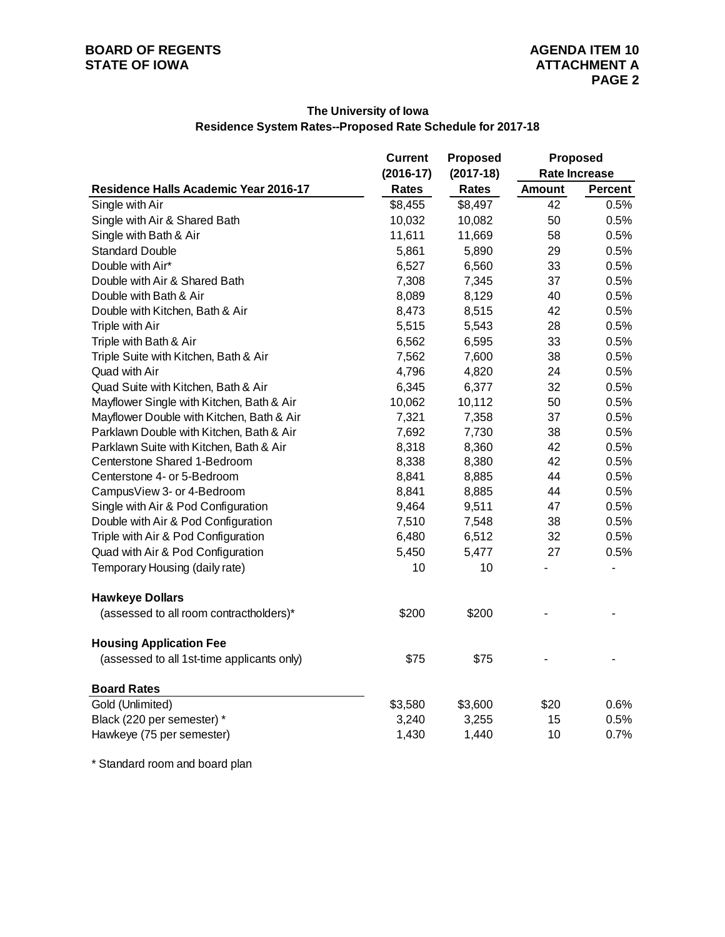### **The University of Iowa Residence System Rates--Proposed Rate Schedule for 2017-18**

|                                            | <b>Current</b> | <b>Proposed</b> | <b>Proposed</b> |                      |  |
|--------------------------------------------|----------------|-----------------|-----------------|----------------------|--|
|                                            | $(2016-17)$    | $(2017-18)$     |                 | <b>Rate Increase</b> |  |
| Residence Halls Academic Year 2016-17      | <b>Rates</b>   | <b>Rates</b>    | <b>Amount</b>   | <b>Percent</b>       |  |
| Single with Air                            | \$8,455        | \$8,497         | 42              | 0.5%                 |  |
| Single with Air & Shared Bath              | 10,032         | 10,082          | 50              | 0.5%                 |  |
| Single with Bath & Air                     | 11,611         | 11,669          | 58              | 0.5%                 |  |
| <b>Standard Double</b>                     | 5,861          | 5,890           | 29              | 0.5%                 |  |
| Double with Air*                           | 6,527          | 6,560           | 33              | 0.5%                 |  |
| Double with Air & Shared Bath              | 7,308          | 7,345           | 37              | 0.5%                 |  |
| Double with Bath & Air                     | 8,089          | 8,129           | 40              | 0.5%                 |  |
| Double with Kitchen, Bath & Air            | 8,473          | 8,515           | 42              | 0.5%                 |  |
| Triple with Air                            | 5,515          | 5,543           | 28              | 0.5%                 |  |
| Triple with Bath & Air                     | 6,562          | 6,595           | 33              | 0.5%                 |  |
| Triple Suite with Kitchen, Bath & Air      | 7,562          | 7,600           | 38              | 0.5%                 |  |
| Quad with Air                              | 4,796          | 4,820           | 24              | 0.5%                 |  |
| Quad Suite with Kitchen, Bath & Air        | 6,345          | 6,377           | 32              | 0.5%                 |  |
| Mayflower Single with Kitchen, Bath & Air  | 10,062         | 10,112          | 50              | 0.5%                 |  |
| Mayflower Double with Kitchen, Bath & Air  | 7,321          | 7,358           | 37              | 0.5%                 |  |
| Parklawn Double with Kitchen, Bath & Air   | 7,692          | 7,730           | 38              | 0.5%                 |  |
| Parklawn Suite with Kitchen, Bath & Air    | 8,318          | 8,360           | 42              | 0.5%                 |  |
| Centerstone Shared 1-Bedroom               | 8,338          | 8,380           | 42              | 0.5%                 |  |
| Centerstone 4- or 5-Bedroom                | 8,841          | 8,885           | 44              | 0.5%                 |  |
| CampusView 3- or 4-Bedroom                 | 8,841          | 8,885           | 44              | 0.5%                 |  |
| Single with Air & Pod Configuration        | 9,464          | 9,511           | 47              | 0.5%                 |  |
| Double with Air & Pod Configuration        | 7,510          | 7,548           | 38              | 0.5%                 |  |
| Triple with Air & Pod Configuration        | 6,480          | 6,512           | 32              | 0.5%                 |  |
| Quad with Air & Pod Configuration          | 5,450          | 5,477           | 27              | 0.5%                 |  |
| Temporary Housing (daily rate)             | 10             | 10              |                 |                      |  |
| <b>Hawkeye Dollars</b>                     |                |                 |                 |                      |  |
| (assessed to all room contractholders)*    | \$200          | \$200           |                 |                      |  |
| <b>Housing Application Fee</b>             |                |                 |                 |                      |  |
| (assessed to all 1st-time applicants only) | \$75           | \$75            |                 |                      |  |
| <b>Board Rates</b>                         |                |                 |                 |                      |  |
| Gold (Unlimited)                           | \$3,580        | \$3,600         | \$20            | 0.6%                 |  |
| Black (220 per semester) *                 | 3,240          | 3,255           | 15              | 0.5%                 |  |
| Hawkeye (75 per semester)                  | 1,430          | 1,440           | 10              | 0.7%                 |  |

\* Standard room and board plan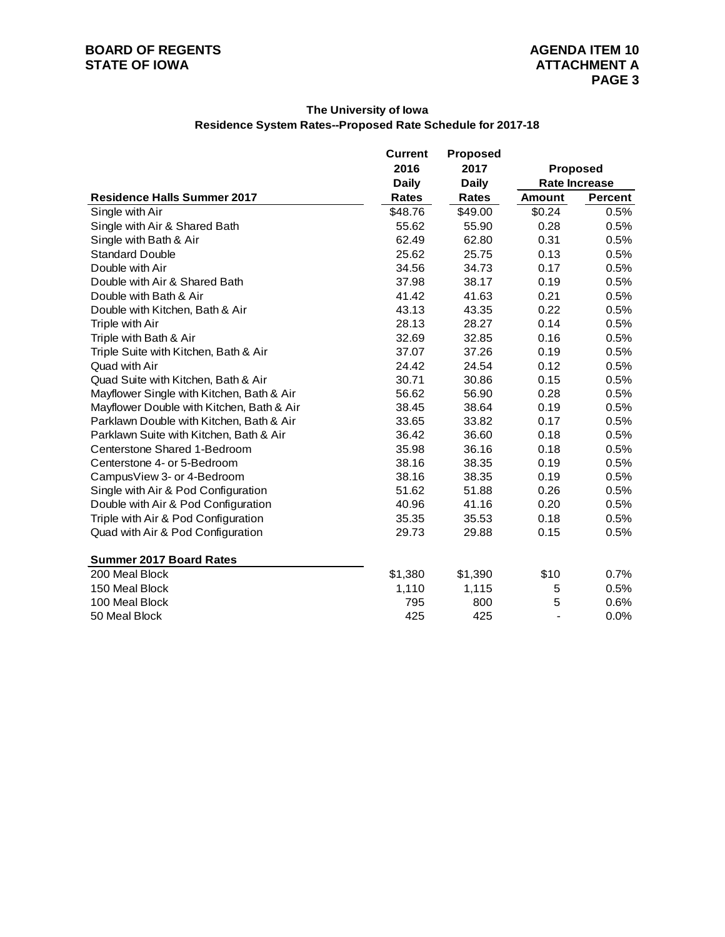### **The University of Iowa Residence System Rates--Proposed Rate Schedule for 2017-18**

|                                           | <b>Current</b><br><b>Proposed</b> |              |                 |                      |
|-------------------------------------------|-----------------------------------|--------------|-----------------|----------------------|
|                                           | 2016                              | 2017         | <b>Proposed</b> |                      |
|                                           | <b>Daily</b>                      | <b>Daily</b> |                 | <b>Rate Increase</b> |
| <b>Residence Halls Summer 2017</b>        | <b>Rates</b>                      | <b>Rates</b> | <b>Amount</b>   | <b>Percent</b>       |
| Single with Air                           | \$48.76                           | \$49.00      | \$0.24          | 0.5%                 |
| Single with Air & Shared Bath             | 55.62                             | 55.90        | 0.28            | 0.5%                 |
| Single with Bath & Air                    | 62.49                             | 62.80        | 0.31            | 0.5%                 |
| <b>Standard Double</b>                    | 25.62                             | 25.75        | 0.13            | 0.5%                 |
| Double with Air                           | 34.56                             | 34.73        | 0.17            | 0.5%                 |
| Double with Air & Shared Bath             | 37.98                             | 38.17        | 0.19            | 0.5%                 |
| Double with Bath & Air                    | 41.42                             | 41.63        | 0.21            | 0.5%                 |
| Double with Kitchen, Bath & Air           | 43.13                             | 43.35        | 0.22            | 0.5%                 |
| Triple with Air                           | 28.13                             | 28.27        | 0.14            | 0.5%                 |
| Triple with Bath & Air                    | 32.69                             | 32.85        | 0.16            | 0.5%                 |
| Triple Suite with Kitchen, Bath & Air     | 37.07                             | 37.26        | 0.19            | 0.5%                 |
| Quad with Air                             | 24.42                             | 24.54        | 0.12            | 0.5%                 |
| Quad Suite with Kitchen, Bath & Air       | 30.71                             | 30.86        | 0.15            | 0.5%                 |
| Mayflower Single with Kitchen, Bath & Air | 56.62                             | 56.90        | 0.28            | 0.5%                 |
| Mayflower Double with Kitchen, Bath & Air | 38.45                             | 38.64        | 0.19            | 0.5%                 |
| Parklawn Double with Kitchen, Bath & Air  | 33.65                             | 33.82        | 0.17            | 0.5%                 |
| Parklawn Suite with Kitchen, Bath & Air   | 36.42                             | 36.60        | 0.18            | 0.5%                 |
| Centerstone Shared 1-Bedroom              | 35.98                             | 36.16        | 0.18            | 0.5%                 |
| Centerstone 4- or 5-Bedroom               | 38.16                             | 38.35        | 0.19            | 0.5%                 |
| CampusView 3- or 4-Bedroom                | 38.16                             | 38.35        | 0.19            | 0.5%                 |
| Single with Air & Pod Configuration       | 51.62                             | 51.88        | 0.26            | 0.5%                 |
| Double with Air & Pod Configuration       | 40.96                             | 41.16        | 0.20            | 0.5%                 |
| Triple with Air & Pod Configuration       | 35.35                             | 35.53        | 0.18            | 0.5%                 |
| Quad with Air & Pod Configuration         | 29.73                             | 29.88        | 0.15            | 0.5%                 |
| <b>Summer 2017 Board Rates</b>            |                                   |              |                 |                      |
| 200 Meal Block                            | \$1,380                           | \$1,390      | \$10            | 0.7%                 |
| 150 Meal Block                            | 1,110                             | 1,115        | 5               | 0.5%                 |
| 100 Meal Block                            | 795                               | 800          | 5               | 0.6%                 |
| 50 Meal Block                             | 425                               | 425          | $\blacksquare$  | 0.0%                 |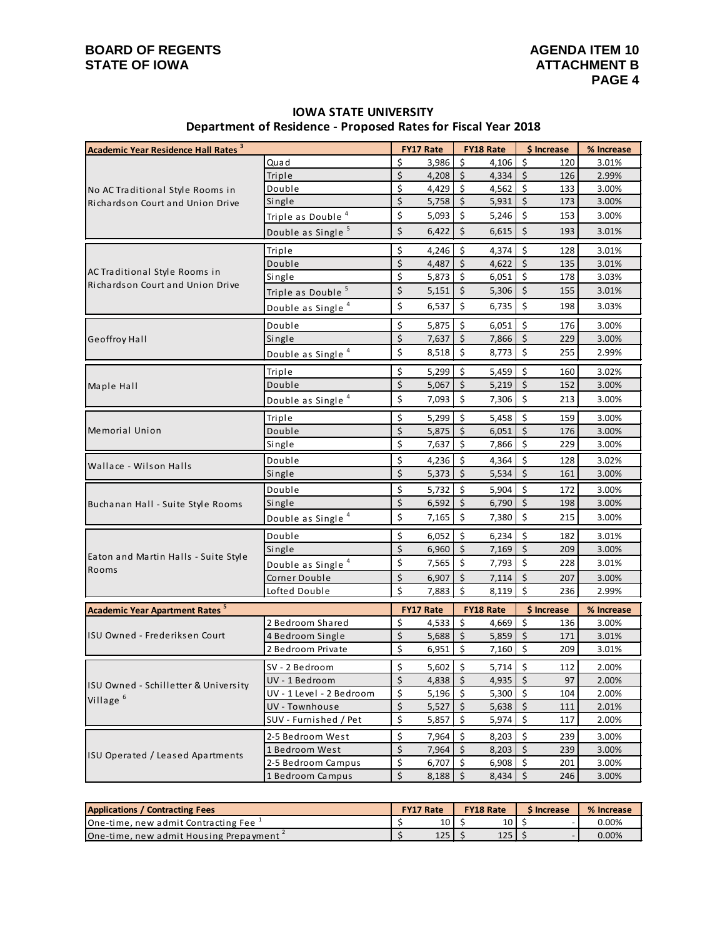# **BOARD OF REGENTS**<br> **BOARD OF REGENTS**<br> **BOARD OF IOWA**<br> **ATTACHMENT B STATE OF IOWA**

# **IOWA STATE UNIVERSITY Department of Residence - Proposed Rates for Fiscal Year 2018**

| <b>Academic Year Residence Hall Rates 3</b>      |                               |                      | <b>FY17 Rate</b> |                     | <b>FY18 Rate</b> | \$ Increase                    |     | % Increase |
|--------------------------------------------------|-------------------------------|----------------------|------------------|---------------------|------------------|--------------------------------|-----|------------|
|                                                  | Quad                          | \$                   | 3,986            | \$                  | 4,106            | \$                             | 120 | 3.01%      |
|                                                  | Triple                        | \$                   | 4,208            | $\ddot{\varsigma}$  | 4,334            | $\zeta$                        | 126 | 2.99%      |
| No AC Traditional Style Rooms in                 | Double                        | \$                   | 4,429            | \$                  | 4,562            | \$                             | 133 | 3.00%      |
| <b>Richardson Court and Union Drive</b>          | Single                        | \$                   | 5,758            | $\zeta$             | 5,931            | $\overline{\xi}$               | 173 | 3.00%      |
|                                                  | Triple as Double <sup>4</sup> | \$                   | 5,093            | \$                  | 5,246            | \$                             | 153 | 3.00%      |
|                                                  | Double as Single <sup>5</sup> | \$                   | 6,422            | \$                  | 6,615            | \$                             | 193 | 3.01%      |
|                                                  | Triple                        | \$                   | 4,246            | $\zeta$             | 4,374            | $\zeta$                        | 128 | 3.01%      |
|                                                  | Double                        | \$                   | 4,487            | $\zeta$             | 4,622            | $\zeta$                        | 135 | 3.01%      |
| AC Traditional Style Rooms in                    | Single                        | \$                   | 5,873            | \$                  | 6,051            | \$                             | 178 | 3.03%      |
| Richardson Court and Union Drive                 | Triple as Double <sup>5</sup> | \$                   | 5,151            | \$                  | 5,306            | \$                             | 155 | 3.01%      |
|                                                  | Double as Single <sup>4</sup> | \$                   | 6,537            | \$                  | 6,735            | \$                             | 198 | 3.03%      |
|                                                  | Double                        | $\boldsymbol{\xi}$   | 5,875            | -\$                 | 6,051            | \$                             | 176 | 3.00%      |
| Geoffroy Hall                                    | Single                        | $\overline{\xi}$     | 7,637            | $\zeta$             | 7,866            | $\zeta$                        | 229 | 3.00%      |
|                                                  | Double as Single <sup>4</sup> | \$                   | 8,518            | $\zeta$             | 8,773            | $\zeta$                        | 255 | 2.99%      |
|                                                  | Triple                        | \$                   | 5,299            | $\zeta$             | 5,459            | $\zeta$                        | 160 | 3.02%      |
| Maple Hall                                       | Double                        | \$                   | 5,067            | $\ddot{\mathsf{S}}$ | 5,219            | $\zeta$                        | 152 | 3.00%      |
|                                                  | Double as Single <sup>4</sup> | \$                   | 7,093            | $\zeta$             | 7,306            | \$                             | 213 | 3.00%      |
| <b>Memorial Union</b>                            | Triple                        | \$                   | 5,299            | $\zeta$             | 5,458            | $\zeta$                        | 159 | 3.00%      |
|                                                  | Double                        | \$                   | 5,875            | $\zeta$             | 6,051            | \$                             | 176 | 3.00%      |
|                                                  | Single                        | \$                   | 7,637            | \$                  | 7,866            | $\zeta$                        | 229 | 3.00%      |
| Wallace - Wilson Halls                           | Double                        | \$                   | 4,236            | \$                  | 4,364            | \$                             | 128 | 3.02%      |
|                                                  | Single                        | \$                   | 5,373            | $\zeta$             | 5,534            | $\zeta$                        | 161 | 3.00%      |
|                                                  | Double                        | \$                   | 5,732            | \$                  | 5,904            | \$                             | 172 | 3.00%      |
| Buchanan Hall - Suite Style Rooms                | Single                        | $\zeta$              | 6,592            | \$                  | 6,790            | $\zeta$                        | 198 | 3.00%      |
|                                                  | Double as Single <sup>4</sup> | \$                   | 7,165            | \$                  | 7,380            | \$                             | 215 | 3.00%      |
|                                                  | Double                        | \$                   | 6,052            | \$                  | 6,234            | \$                             | 182 | 3.01%      |
|                                                  | Single                        | \$                   | 6,960            | $\zeta$             | 7,169            | $\zeta$                        | 209 | 3.00%      |
| Eaton and Martin Halls - Suite Style<br>Rooms    | Double as Single <sup>4</sup> | \$                   | 7,565            | $\zeta$             | 7,793            | \$                             | 228 | 3.01%      |
|                                                  | Corner Double                 | \$                   | 6,907            | \$                  | 7,114            | \$                             | 207 | 3.00%      |
|                                                  | Lofted Double                 | \$                   | 7,883            | $\zeta$             | 8,119            | \$                             | 236 | 2.99%      |
| <b>Academic Year Apartment Rates<sup>5</sup></b> |                               |                      | <b>FY17 Rate</b> |                     | <b>FY18 Rate</b> | \$ Increase                    |     | % Increase |
|                                                  | 2 Bedroom Shared              | \$                   | 4,533            | \$                  | 4,669            | \$                             | 136 | 3.00%      |
| ISU Owned - Frederiksen Court                    | 4 Bedroom Single              | $\zeta$              | 5,688            | $\zeta$             | 5,859            | $\zeta$                        | 171 | 3.01%      |
|                                                  | 2 Bedroom Private             | \$                   | 6,951            | \$                  | 7,160            | \$                             | 209 | 3.01%      |
|                                                  | SV - 2 Bedroom                | Ś                    | $5,602$ \$       |                     | $5,714$ \$       |                                | 112 | 2.00%      |
| ISU Owned - Schilletter & University             | UV - 1 Bedroom                | $\boldsymbol{\zeta}$ | 4,838            | $\ddot{\circ}$      | 4,935            | $\zeta$                        | 97  | 2.00%      |
| Village $6$                                      | UV - 1 Level - 2 Bedroom      | \$                   | 5,196            | \$                  | 5,300            | \$                             | 104 | 2.00%      |
|                                                  | UV - Townhouse                | \$                   | 5,527            | $\ddot{\varsigma}$  | 5,638            | $\zeta$                        | 111 | 2.01%      |
|                                                  | SUV - Furnished / Pet         | \$                   | 5,857            | $\zeta$             | 5,974            | $\zeta$                        | 117 | 2.00%      |
|                                                  | 2-5 Bedroom West              | \$                   | 7,964            | $\ddot{\mathsf{s}}$ | 8,203            | \$                             | 239 | 3.00%      |
| ISU Operated / Leased Apartments                 | 1 Bedroom West                | \$                   | 7,964            | $\zeta$             | 8,203            | $\zeta$                        | 239 | 3.00%      |
|                                                  | 2-5 Bedroom Campus            | \$                   | 6,707            | \$                  | 6,908            | \$                             | 201 | 3.00%      |
|                                                  | 1 Bedroom Campus              | \$                   | 8,188            | $\ddot{\varsigma}$  | 8,434            | $\boldsymbol{\dot{\varsigma}}$ | 246 | 3.00%      |

| <b>Applications / Contracting Fees</b>              | <b>FY17 Rate</b> |                 | <b>FY18 Rate</b> | S Increase | % Increase |
|-----------------------------------------------------|------------------|-----------------|------------------|------------|------------|
| <b>IOne-time, new admit Contracting Fee</b>         |                  | 10 <sup>1</sup> | 10 I             |            | 0.00%      |
| One-time, new admit Housing Prepayment <sup>2</sup> |                  | 125             | 125              |            | $0.00\%$   |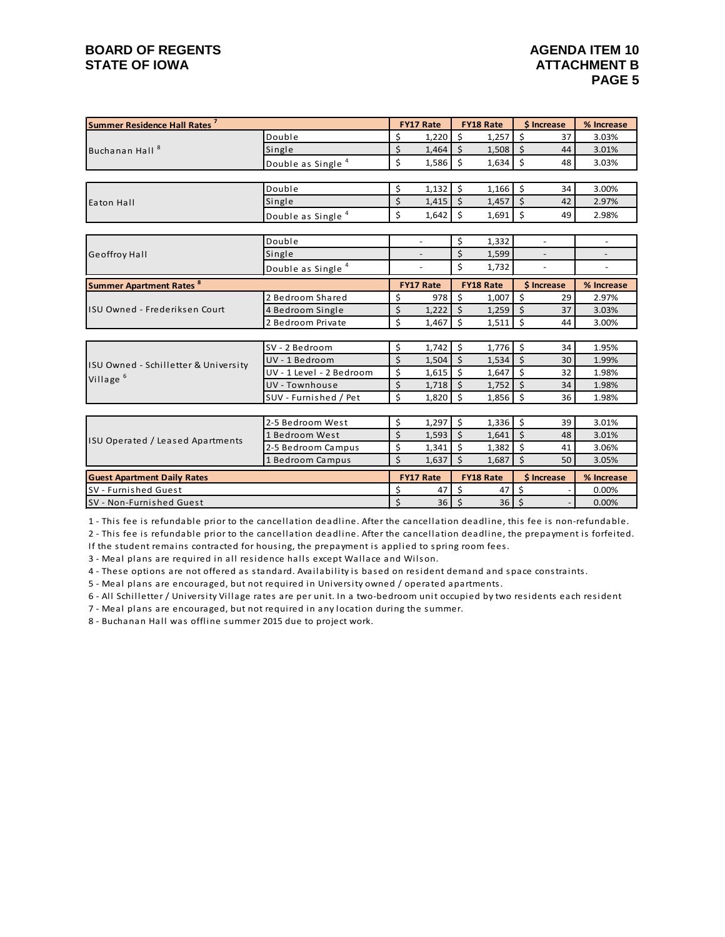## **BOARD OF REGENTS**<br> **BOARD OF REGENTS**<br> **BOARD OF IOWA**<br> **ATTACHMENT B STATE OF IOWA**

| Summer Residence Hall Rates <sup>7</sup>  |                               |                  | <b>FY17 Rate</b>         |                    | FY18 Rate | \$ Increase        |    | % Increase               |  |
|-------------------------------------------|-------------------------------|------------------|--------------------------|--------------------|-----------|--------------------|----|--------------------------|--|
|                                           | Double                        | \$               | 1.220                    | $\mathsf{\hat{S}}$ | 1,257     | \$                 | 37 | 3.03%                    |  |
| Buchanan Hall <sup>8</sup>                | Single                        | \$               | 1,464                    | $\ddot{s}$         | 1,508     | \$                 | 44 | 3.01%                    |  |
|                                           | Double as Single <sup>4</sup> | \$               | 1,586                    | Ŝ.                 | 1,634     | \$                 | 48 | 3.03%                    |  |
|                                           |                               |                  |                          |                    |           |                    |    |                          |  |
|                                           | Double                        | \$               | 1,132                    | Ŝ.                 | 1,166     | \$                 | 34 | 3.00%                    |  |
| Eaton Hall                                | Single                        | \$               | $1,415$ \$               |                    | 1,457     | $\zeta$            | 42 | 2.97%                    |  |
|                                           | Double as Single <sup>4</sup> | \$               | 1,642                    | $\mathsf{\hat{S}}$ | 1,691     | Ś                  | 49 | 2.98%                    |  |
|                                           |                               |                  |                          |                    |           |                    |    |                          |  |
|                                           | Double                        |                  | $\overline{\phantom{a}}$ | \$                 | 1,332     | $\blacksquare$     |    | $\overline{\phantom{a}}$ |  |
| <b>Geoffroy Hall</b>                      | Single                        |                  |                          | $\zeta$            | 1,599     |                    |    |                          |  |
|                                           | Double as Single <sup>4</sup> |                  |                          | \$<br>1,732        |           |                    |    |                          |  |
| <b>Summer Apartment Rates<sup>8</sup></b> |                               | <b>FY17 Rate</b> |                          | <b>FY18 Rate</b>   |           | \$ Increase        |    | % Increase               |  |
| ISU Owned - Frederiksen Court             | 2 Bedroom Shared              | \$               | 978                      | Ŝ.                 | 1,007     | \$                 | 29 | 2.97%                    |  |
|                                           | 4 Bedroom Single              | \$               | 1,222                    | $\mathsf{S}$       | 1,259     | \$                 | 37 | 3.03%                    |  |
|                                           | 2 Bedroom Private             | \$               | 1,467                    | Ŝ.                 | 1,511     | Ś                  | 44 | 3.00%                    |  |
|                                           |                               |                  |                          |                    |           |                    |    |                          |  |
|                                           | SV - 2 Bedroom                | \$               | 1,742                    | $\zeta$            | 1,776     | $\mathsf{\hat{S}}$ | 34 | 1.95%                    |  |
| ISU Owned - Schilletter & University      | UV - 1 Bedroom                | \$               | 1,504                    | $\zeta$            | 1,534     | \$                 | 30 | 1.99%                    |  |
| Village <sup>6</sup>                      | UV - 1 Level - 2 Bedroom      | \$               | 1,615                    | $\mathsf{S}$       | 1,647     | \$                 | 32 | 1.98%                    |  |
|                                           | UV - Townhouse                | \$               | 1,718                    | - Ś                | 1,752     | \$                 | 34 | 1.98%                    |  |
|                                           | SUV - Furnished / Pet         | \$               | 1,820                    | S.                 | 1,856     | Ś                  | 36 | 1.98%                    |  |
|                                           |                               |                  |                          |                    |           |                    |    |                          |  |
|                                           | 2-5 Bedroom West              | \$               | 1,297                    | $\zeta$            | 1,336     | \$                 | 39 | 3.01%                    |  |
| ISU Operated / Leased Apartments          | 1 Bedroom West                | \$               | 1,593                    | $\dot{\mathsf{s}}$ | 1,641     | \$                 | 48 | 3.01%                    |  |
|                                           | 2-5 Bedroom Campus            | \$               | 1,341                    | $\dot{\mathsf{s}}$ | 1,382     | \$                 | 41 | 3.06%                    |  |
|                                           | 1 Bedroom Campus              | \$               | 1,637                    | $\zeta$            | 1,687     | \$                 | 50 | 3.05%                    |  |
| <b>Guest Apartment Daily Rates</b>        |                               |                  | <b>FY17 Rate</b>         | <b>FY18 Rate</b>   |           | \$ Increase        |    | % Increase               |  |
| SV - Furnished Guest                      |                               | \$               | 47                       | Ś                  | 47        | Ś                  |    | 0.00%                    |  |
| SV - Non-Furnished Guest                  |                               | \$               | 36                       | $\zeta$            | 36        | \$                 |    | 0.00%                    |  |

1 - This fee is refundable prior to the cancellation deadline. After the cancellation deadline, this fee is non-refundable.

2 - This fee is refundable prior to the cancellation deadline. After the cancellation deadline, the prepayment is forfeited.

If the student remains contracted for housing, the prepayment is applied to spring room fees.

3 - Meal plans are required in all residence halls except Wallace and Wilson.

4 - These options are not offered as standard. Availability is based on resident demand and space constraints.

5 - Meal plans are encouraged, but not required in University owned / operated apartments.

6 - All Schilletter / University Village rates are per unit. In a two-bedroom unit occupied by two residents each resident

7 - Meal plans are encouraged, but not required in any location during the summer.

8 - Buchanan Hall was offline summer 2015 due to project work.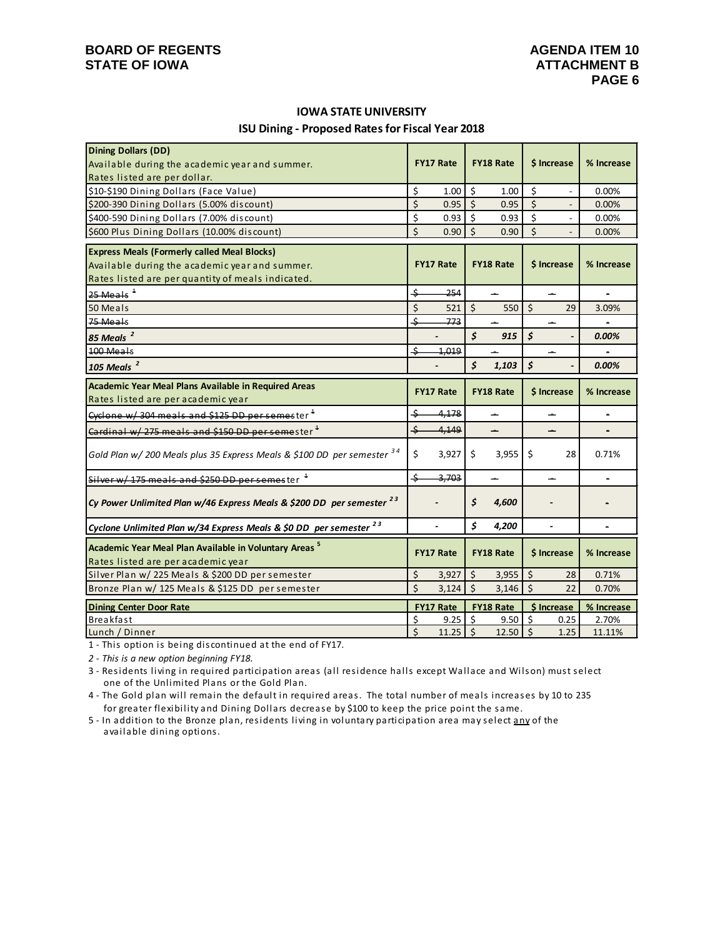## **BOARD OF REGENTS**<br> **BOARD OF REGENTS**<br> **BOARD OF IOWA**<br> **ATTACHMENT B STATE OF IOWA**

# **ISU Dining - Proposed Rates for Fiscal Year 2018 IOWA STATE UNIVERSITY**

| <b>Dining Dollars (DD)</b>                                                       |                                      |                  |                     |                  |                      |                          |                |
|----------------------------------------------------------------------------------|--------------------------------------|------------------|---------------------|------------------|----------------------|--------------------------|----------------|
| Available during the academic year and summer.                                   |                                      | <b>FY17 Rate</b> |                     | <b>FY18 Rate</b> |                      | \$ Increase              | % Increase     |
| Rates listed are per dollar.                                                     |                                      |                  |                     |                  |                      |                          |                |
| \$10-\$190 Dining Dollars (Face Value)                                           | \$                                   | 1.00             | \$                  | 1.00             | \$                   | $\overline{\phantom{a}}$ | 0.00%          |
| \$200-390 Dining Dollars (5.00% discount)                                        | \$                                   | 0.95             | $\mathsf{\dot{S}}$  | 0.95             | \$                   | $\overline{a}$           | 0.00%          |
| \$400-590 Dining Dollars (7.00% discount)                                        | \$                                   | 0.93             | Ŝ.                  | 0.93             | \$                   | $\overline{a}$           | 0.00%          |
| \$600 Plus Dining Dollars (10.00% discount)                                      | Ś                                    | 0.90             | $\mathsf{\dot{S}}$  | 0.90             | $\mathsf{\dot{S}}$   |                          | 0.00%          |
| <b>Express Meals (Formerly called Meal Blocks)</b>                               |                                      |                  |                     |                  |                      |                          |                |
| Available during the academic year and summer.                                   | <b>FY17 Rate</b><br><b>FY18 Rate</b> |                  | \$ Increase         |                  | % Increase           |                          |                |
| Rates listed are per quantity of meals indicated.                                |                                      |                  |                     |                  |                      |                          |                |
| $25$ Meals <sup><math>4</math></sup>                                             | \$                                   | 254              |                     | <u>.</u>         |                      | <u>.</u>                 | $\blacksquare$ |
| 50 Meals                                                                         | \$                                   | 521              | $\ddot{\mathsf{S}}$ | 550              | $\zeta$              | 29                       | 3.09%          |
| 75 Meals                                                                         | \$                                   | 773              |                     |                  |                      |                          |                |
| 85 Meals <sup>2</sup>                                                            |                                      |                  | \$                  | 915              | $\boldsymbol{\zeta}$ |                          | 0.00%          |
| 100 Meals                                                                        | \$                                   | 4,019            |                     |                  |                      |                          |                |
| 105 Meals $^2$                                                                   |                                      |                  | \$                  | 1,103            | $\mathsf{\hat{S}}$   |                          | 0.00%          |
| Academic Year Meal Plans Available in Required Areas                             |                                      |                  |                     |                  |                      |                          |                |
| Rates listed are per academic year                                               |                                      | <b>FY17 Rate</b> |                     | <b>FY18 Rate</b> |                      | \$ Increase              | % Increase     |
| Cyclone w/304 meals and \$125 DD per semester <sup>1</sup>                       | \$                                   | 4,178            |                     | <u>.</u>         |                      |                          |                |
| Cardinal w/275 meals and \$150 DD per semester <sup>1</sup>                      | \$                                   | 4,149            |                     | ц.               |                      | ц.                       | $\blacksquare$ |
| Gold Plan w/ 200 Meals plus 35 Express Meals & \$100 DD per semester 34          | \$                                   | 3,927            | \$                  | 3,955            | S.                   | 28                       | 0.71%          |
| Silver w/ 175 meals and \$250 DD per semester                                    | \$                                   | 3,703            |                     |                  |                      |                          |                |
| Cy Power Unlimited Plan w/46 Express Meals & \$200 DD per semester <sup>23</sup> |                                      |                  | \$                  | 4,600            |                      |                          |                |
| Cyclone Unlimited Plan w/34 Express Meals & \$0 DD per semester <sup>23</sup>    |                                      |                  | \$                  | 4,200            |                      |                          |                |
| Academic Year Meal Plan Available in Voluntary Areas <sup>5</sup>                |                                      | <b>FY17 Rate</b> |                     | <b>FY18 Rate</b> |                      | \$ Increase              | % Increase     |
| Rates listed are per academic year                                               |                                      |                  |                     |                  |                      |                          |                |
| Silver Plan w/ 225 Meals & \$200 DD per semester                                 | \$                                   | 3,927            | \$                  | 3,955            | \$                   | 28                       | 0.71%          |
| Bronze Plan w/ 125 Meals & \$125 DD per semester                                 | \$                                   | 3,124            | $\mathsf{\dot{S}}$  | 3,146            | $\zeta$              | 22                       | 0.70%          |
| <b>Dining Center Door Rate</b>                                                   |                                      | <b>FY17 Rate</b> |                     | FY18 Rate        |                      | \$ Increase              | % Increase     |
| Breakfast                                                                        | \$                                   | 9.25             | 5                   | 9.50             | $\zeta$              | 0.25                     | 2.70%          |
| Lunch / Dinner                                                                   | \$                                   | $11.25$ \$       |                     | $12.50$ \$       |                      | 1.25                     | 11.11%         |

1 - This option is being discontinued at the end of FY17.

*2 - This is a new option beginning FY18.*

 one of the Unlimited Plans or the Gold Plan. 3 - Residents living in required participation areas (all residence halls except Wallace and Wilson) must select

4 - The Gold plan will remain the default in required areas. The total number of meals increases by 10 to 235 for greater flexibility and Dining Dollars decrease by \$100 to keep the price point the same.

 available dining options. 5 - In addition to the Bronze plan, residents living in voluntary participation area may select any of the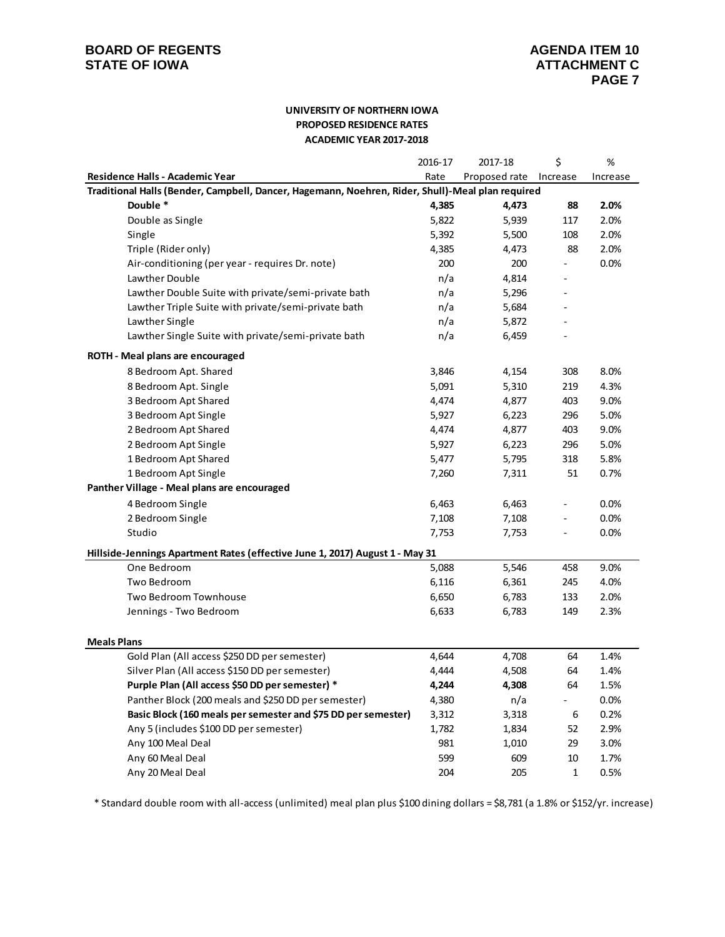### **UNIVERSITY OF NORTHERN IOWA PROPOSED RESIDENCE RATES ACADEMIC YEAR 2017-2018**

|                                                                                                  | 2016-17 | 2017-18       | \$                       | %        |
|--------------------------------------------------------------------------------------------------|---------|---------------|--------------------------|----------|
| Residence Halls - Academic Year                                                                  | Rate    | Proposed rate | Increase                 | Increase |
| Traditional Halls (Bender, Campbell, Dancer, Hagemann, Noehren, Rider, Shull)-Meal plan required |         |               |                          |          |
| Double *                                                                                         | 4,385   | 4,473         | 88                       | 2.0%     |
| Double as Single                                                                                 | 5,822   | 5,939         | 117                      | 2.0%     |
| Single                                                                                           | 5,392   | 5,500         | 108                      | 2.0%     |
| Triple (Rider only)                                                                              | 4,385   | 4,473         | 88                       | 2.0%     |
| Air-conditioning (per year - requires Dr. note)                                                  | 200     | 200           |                          | 0.0%     |
| Lawther Double                                                                                   | n/a     | 4,814         |                          |          |
| Lawther Double Suite with private/semi-private bath                                              | n/a     | 5,296         |                          |          |
| Lawther Triple Suite with private/semi-private bath                                              | n/a     | 5,684         |                          |          |
| Lawther Single                                                                                   | n/a     | 5,872         |                          |          |
| Lawther Single Suite with private/semi-private bath                                              | n/a     | 6,459         |                          |          |
| ROTH - Meal plans are encouraged                                                                 |         |               |                          |          |
| 8 Bedroom Apt. Shared                                                                            | 3,846   | 4,154         | 308                      | 8.0%     |
| 8 Bedroom Apt. Single                                                                            | 5,091   | 5,310         | 219                      | 4.3%     |
| 3 Bedroom Apt Shared                                                                             | 4,474   | 4,877         | 403                      | 9.0%     |
| 3 Bedroom Apt Single                                                                             | 5,927   | 6,223         | 296                      | 5.0%     |
| 2 Bedroom Apt Shared                                                                             | 4,474   | 4,877         | 403                      | 9.0%     |
| 2 Bedroom Apt Single                                                                             | 5,927   | 6,223         | 296                      | 5.0%     |
| 1 Bedroom Apt Shared                                                                             | 5,477   | 5,795         | 318                      | 5.8%     |
| 1 Bedroom Apt Single                                                                             | 7,260   | 7,311         | 51                       | 0.7%     |
| Panther Village - Meal plans are encouraged                                                      |         |               |                          |          |
| 4 Bedroom Single                                                                                 | 6,463   | 6,463         | $\overline{\phantom{0}}$ | 0.0%     |
| 2 Bedroom Single                                                                                 | 7,108   | 7,108         |                          | 0.0%     |
| Studio                                                                                           | 7,753   | 7,753         |                          | 0.0%     |
| Hillside-Jennings Apartment Rates (effective June 1, 2017) August 1 - May 31                     |         |               |                          |          |
| One Bedroom                                                                                      | 5,088   | 5,546         | 458                      | 9.0%     |
| Two Bedroom                                                                                      | 6,116   | 6,361         | 245                      | 4.0%     |
| Two Bedroom Townhouse                                                                            | 6,650   | 6,783         | 133                      | 2.0%     |
| Jennings - Two Bedroom                                                                           | 6,633   | 6,783         | 149                      | 2.3%     |
| <b>Meals Plans</b>                                                                               |         |               |                          |          |
| Gold Plan (All access \$250 DD per semester)                                                     | 4,644   | 4,708         | 64                       | 1.4%     |
| Silver Plan (All access \$150 DD per semester)                                                   | 4,444   | 4,508         | 64                       | 1.4%     |
| Purple Plan (All access \$50 DD per semester) *                                                  | 4,244   | 4,308         | 64                       | 1.5%     |
| Panther Block (200 meals and \$250 DD per semester)                                              | 4,380   | n/a           | ۰.                       | 0.0%     |
| Basic Block (160 meals per semester and \$75 DD per semester)                                    | 3,312   | 3,318         | 6                        | 0.2%     |
| Any 5 (includes \$100 DD per semester)                                                           | 1,782   | 1,834         | 52                       | 2.9%     |
| Any 100 Meal Deal                                                                                | 981     | 1,010         | 29                       | 3.0%     |
| Any 60 Meal Deal                                                                                 | 599     | 609           | 10                       | 1.7%     |
| Any 20 Meal Deal                                                                                 | 204     | 205           | 1                        | 0.5%     |

\* Standard double room with all-access (unlimited) meal plan plus \$100 dining dollars = \$8,781 (a 1.8% or \$152/yr. increase)